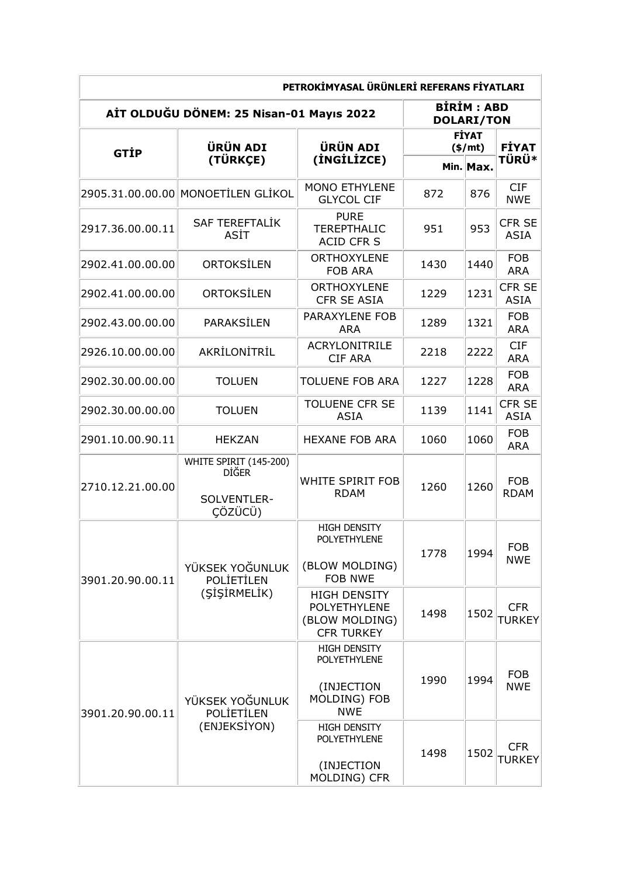| PETROKİMYASAL ÜRÜNLERİ REFERANS FİYATLARI |                                                                  |                                                                                 |                                        |           |                             |  |  |
|-------------------------------------------|------------------------------------------------------------------|---------------------------------------------------------------------------------|----------------------------------------|-----------|-----------------------------|--|--|
| AİT OLDUĞU DÖNEM: 25 Nisan-01 Mayıs 2022  |                                                                  |                                                                                 | <b>BIRIM: ABD</b><br><b>DOLARI/TON</b> |           |                             |  |  |
| <b>GTIP</b>                               | <b>ÜRÜN ADI</b><br>(TÜRKÇE)                                      | <b>ÜRÜN ADI</b><br>(INGILIZCE)                                                  | <b>FİYAT</b><br>(\$/mt)                |           | <b>FİYAT</b>                |  |  |
|                                           |                                                                  |                                                                                 |                                        | Min. Max. | <b>TÜRÜ*</b>                |  |  |
|                                           | 2905.31.00.00.00 MONOETILEN GLIKOL                               | <b>MONO ETHYLENE</b><br><b>GLYCOL CIF</b>                                       | 872                                    | 876       | <b>CIF</b><br><b>NWE</b>    |  |  |
| 2917.36.00.00.11                          | <b>SAF TEREFTALIK</b><br>ASİT                                    | <b>PURE</b><br><b>TEREPTHALIC</b><br><b>ACID CFR S</b>                          | 951                                    | 953       | CFR SE<br><b>ASIA</b>       |  |  |
| 2902.41.00.00.00                          | ORTOKSILEN                                                       | <b>ORTHOXYLENE</b><br><b>FOB ARA</b>                                            | 1430                                   | 1440      | <b>FOB</b><br><b>ARA</b>    |  |  |
| 2902.41.00.00.00                          | ORTOKSİLEN                                                       | <b>ORTHOXYLENE</b><br><b>CFR SE ASIA</b>                                        | 1229                                   | 1231      | CFR SE<br><b>ASIA</b>       |  |  |
| 2902.43.00.00.00                          | PARAKSİLEN                                                       | <b>PARAXYLENE FOB</b><br><b>ARA</b>                                             | 1289                                   | 1321      | <b>FOB</b><br><b>ARA</b>    |  |  |
| 2926.10.00.00.00                          | AKRİLONİTRİL                                                     | <b>ACRYLONITRILE</b><br><b>CIF ARA</b>                                          | 2218                                   | 2222      | <b>CIF</b><br><b>ARA</b>    |  |  |
| 2902.30.00.00.00                          | <b>TOLUEN</b>                                                    | <b>TOLUENE FOB ARA</b>                                                          | 1227                                   | 1228      | <b>FOB</b><br><b>ARA</b>    |  |  |
| 2902.30.00.00.00                          | <b>TOLUEN</b>                                                    | <b>TOLUENE CFR SE</b><br><b>ASIA</b>                                            | 1139                                   | 1141      | CFR SE<br><b>ASIA</b>       |  |  |
| 2901.10.00.90.11                          | <b>HEKZAN</b>                                                    | <b>HEXANE FOB ARA</b>                                                           | 1060                                   | 1060      | <b>FOB</b><br><b>ARA</b>    |  |  |
| 2710.12.21.00.00                          | WHITE SPIRIT (145-200)<br><b>DİĞER</b><br>SOLVENTLER-<br>ÇÖZÜCÜ) | <b>WHITE SPIRIT FOB</b><br><b>RDAM</b>                                          | 1260                                   | 1260      | <b>FOB</b><br><b>RDAM</b>   |  |  |
| 3901.20.90.00.11                          | YÜKSEK YOĞUNLUK<br><b>POLIETILEN</b><br>(SİSİRMELİK)             | <b>HIGH DENSITY</b><br>POLYETHYLENE<br>(BLOW MOLDING)<br><b>FOB NWE</b>         | 1778                                   | 1994      | <b>FOB</b><br><b>NWE</b>    |  |  |
|                                           |                                                                  | <b>HIGH DENSITY</b><br>POLYETHYLENE<br>(BLOW MOLDING)<br><b>CFR TURKEY</b>      | 1498                                   | 1502      | <b>CFR</b><br><b>TURKEY</b> |  |  |
| 3901.20.90.00.11                          | YÜKSEK YOĞUNLUK<br><b>POLIETILEN</b><br>(ENJEKSIYON)             | <b>HIGH DENSITY</b><br>POLYETHYLENE<br>(INJECTION<br>MOLDING) FOB<br><b>NWE</b> | 1990                                   | 1994      | <b>FOB</b><br><b>NWE</b>    |  |  |
|                                           |                                                                  | <b>HIGH DENSITY</b><br>POLYETHYLENE<br>(INJECTION<br>MOLDING) CFR               | 1498                                   | 1502      | <b>CFR</b><br><b>TURKEY</b> |  |  |